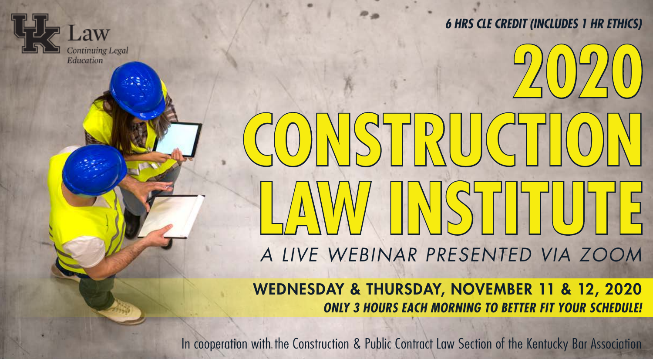

*6 HRS CLE CREDIT (INCLUDES 1 HR ETHICS)*

**2020**  STRUCT **LAW INSTITUTE** *A LIVE WEBINAR PRESENTED VIA ZOOM*

#### WEDNESDAY & THURSDAY, NOVEMBER 11 & 12, 2020 *ONLY 3 HOURS EACH MORNING TO BETTER FIT YOUR SCHEDULE!*

In cooperation with the Construction & Public Contract Law Section of the Kentucky Bar Association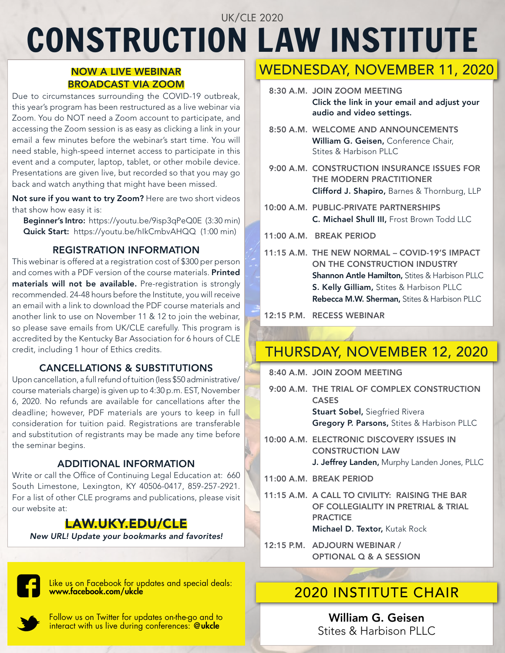# CONSTRUCTION LAW INSTITUTE UK/CLE 2020

#### NOW A LIVE WEBINAR BROADCAST VIA ZOOM

Due to circumstances surrounding the COVID-19 outbreak, this year's program has been restructured as a live webinar via Zoom. You do NOT need a Zoom account to participate, and accessing the Zoom session is as easy as clicking a link in your email a few minutes before the webinar's start time. You will need stable, high-speed internet access to participate in this event and a computer, laptop, tablet, or other mobile device. Presentations are given live, but recorded so that you may go back and watch anything that might have been missed.

Not sure if you want to try Zoom? Here are two short videos that show how easy it is:

Beginner's Intro: [https://youtu.be/9isp3qPeQ0E \(3:30 min\)](https://youtu.be/9isp3qPeQ0E) Quick Start: [https://youtu.be/hIkCmbvAHQQ \(1:00 min\)](https://youtu.be/hIkCmbvAHQQ)

#### REGISTRATION INFORMATION

This webinar is offered at a registration cost of \$300 per person and comes with a PDF version of the course materials. Printed materials will not be available. Pre-registration is strongly recommended. 24-48 hours before the Institute, you will receive an email with a link to download the PDF course materials and another link to use on November 11 & 12 to join the webinar, so please save emails from UK/CLE carefully. This program is accredited by the Kentucky Bar Association for 6 hours of CLE credit, including 1 hour of Ethics credits.

#### CANCELLATIONS & SUBSTITUTIONS

Upon cancellation, a full refund of tuition (less \$50 administrative/ course materials charge) is given up to 4:30 p.m. EST, November 6, 2020. No refunds are available for cancellations after the deadline; however, PDF materials are yours to keep in full consideration for tuition paid. Registrations are transferable and substitution of registrants may be made any time before the seminar begins.

#### ADDITIONAL INFORMATION

Write or call the Office of Continuing Legal Education at: [660](https://goo.gl/maps/GbN5WWky4KyTujBEA) [South Limestone, Lexington, KY 40506-0417](https://goo.gl/maps/GbN5WWky4KyTujBEA), 859-257-2921. For a list of other CLE programs and publications, please visit our website at:

### [LAW.UKY.EDU/CLE](https://law.uky.edu/CLE)

*New URL! Update your bookmarks and favorites!*



[Like us on Facebook for updates and special deals:](https://www.facebook.com/ukcle)<br>www.face<mark>book.com/ukcle</mark>html

[Follow us on Twitter for updates on-the-go and to](https://twitter.com/ukcle)  [interact with us live during conferences:](https://twitter.com/ukcle) @**ukcle** 

# WEDNESDAY, NOVEMBER 11, 2020

- 8:30 A.M. JOIN ZOOM MEETING Click the link in your email and adjust your audio and video settings.
- 8:50 A.M. WELCOME AND ANNOUNCEMENTS William G. Geisen, Conference Chair, Stites & Harbison PLLC
- 9:00 A.M. CONSTRUCTION INSURANCE ISSUES FOR THE MODERN PRACTITIONER Clifford J. Shapiro, Barnes & Thornburg, LLP
- 10:00 A.M. PUBLIC-PRIVATE PARTNERSHIPS C. Michael Shull III, Frost Brown Todd LLC
- 11:00 A.M. BREAK PERIOD
- 11:15 A.M. THE NEW NORMAL COVID-19'S IMPACT ON THE CONSTRUCTION INDUSTRY **Shannon Antle Hamilton, Stites & Harbison PLLC** S. Kelly Gilliam, Stites & Harbison PLLC Rebecca M.W. Sherman, Stites & Harbison PLLC

12:15 P.M. RECESS WEBINAR

# THURSDAY, NOVEMBER 12, 2020

8:40 A.M. JOIN ZOOM MEETING

- 9:00 A.M. THE TRIAL OF COMPLEX CONSTRUCTION CASES **Stuart Sobel, Siegfried Rivera** Gregory P. Parsons, Stites & Harbison PLLC
- 10:00 A.M. ELECTRONIC DISCOVERY ISSUES IN CONSTRUCTION LAW J. Jeffrey Landen, Murphy Landen Jones, PLLC
- 11:00 A.M. BREAK PERIOD
- 11:15 A.M. A CALL TO CIVILITY: RAISING THE BAR OF COLLEGIALITY IN PRETRIAL & TRIAL **PRACTICE** Michael D. Textor, Kutak Rock
- 12:15 P.M. ADJOURN WEBINAR / OPTIONAL Q & A SESSION

William G. Geisen Stites & Harbison PLLC